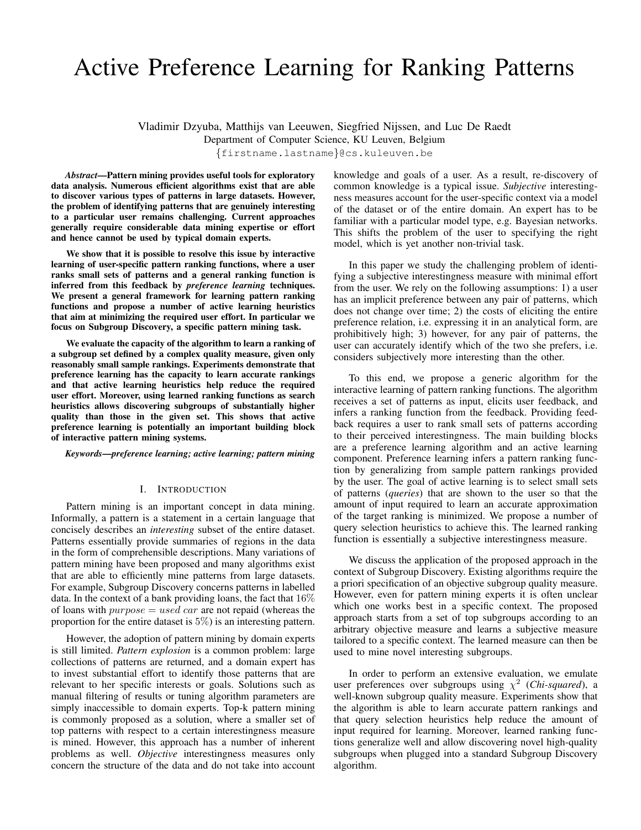# Active Preference Learning for Ranking Patterns

Vladimir Dzyuba, Matthijs van Leeuwen, Siegfried Nijssen, and Luc De Raedt

Department of Computer Science, KU Leuven, Belgium

{firstname.lastname}@cs.kuleuven.be

*Abstract*—Pattern mining provides useful tools for exploratory data analysis. Numerous efficient algorithms exist that are able to discover various types of patterns in large datasets. However, the problem of identifying patterns that are genuinely interesting to a particular user remains challenging. Current approaches generally require considerable data mining expertise or effort and hence cannot be used by typical domain experts.

We show that it is possible to resolve this issue by interactive learning of user-specific pattern ranking functions, where a user ranks small sets of patterns and a general ranking function is inferred from this feedback by *preference learning* techniques. We present a general framework for learning pattern ranking functions and propose a number of active learning heuristics that aim at minimizing the required user effort. In particular we focus on Subgroup Discovery, a specific pattern mining task.

We evaluate the capacity of the algorithm to learn a ranking of a subgroup set defined by a complex quality measure, given only reasonably small sample rankings. Experiments demonstrate that preference learning has the capacity to learn accurate rankings and that active learning heuristics help reduce the required user effort. Moreover, using learned ranking functions as search heuristics allows discovering subgroups of substantially higher quality than those in the given set. This shows that active preference learning is potentially an important building block of interactive pattern mining systems.

*Keywords*—*preference learning; active learning; pattern mining*

## I. INTRODUCTION

Pattern mining is an important concept in data mining. Informally, a pattern is a statement in a certain language that concisely describes an *interesting* subset of the entire dataset. Patterns essentially provide summaries of regions in the data in the form of comprehensible descriptions. Many variations of pattern mining have been proposed and many algorithms exist that are able to efficiently mine patterns from large datasets. For example, Subgroup Discovery concerns patterns in labelled data. In the context of a bank providing loans, the fact that 16% of loans with  $purpose = used \, car$  are not repaid (whereas the proportion for the entire dataset is 5%) is an interesting pattern.

However, the adoption of pattern mining by domain experts is still limited. *Pattern explosion* is a common problem: large collections of patterns are returned, and a domain expert has to invest substantial effort to identify those patterns that are relevant to her specific interests or goals. Solutions such as manual filtering of results or tuning algorithm parameters are simply inaccessible to domain experts. Top-k pattern mining is commonly proposed as a solution, where a smaller set of top patterns with respect to a certain interestingness measure is mined. However, this approach has a number of inherent problems as well. *Objective* interestingness measures only concern the structure of the data and do not take into account knowledge and goals of a user. As a result, re-discovery of common knowledge is a typical issue. *Subjective* interestingness measures account for the user-specific context via a model of the dataset or of the entire domain. An expert has to be familiar with a particular model type, e.g. Bayesian networks. This shifts the problem of the user to specifying the right model, which is yet another non-trivial task.

In this paper we study the challenging problem of identifying a subjective interestingness measure with minimal effort from the user. We rely on the following assumptions: 1) a user has an implicit preference between any pair of patterns, which does not change over time; 2) the costs of eliciting the entire preference relation, i.e. expressing it in an analytical form, are prohibitively high; 3) however, for any pair of patterns, the user can accurately identify which of the two she prefers, i.e. considers subjectively more interesting than the other.

To this end, we propose a generic algorithm for the interactive learning of pattern ranking functions. The algorithm receives a set of patterns as input, elicits user feedback, and infers a ranking function from the feedback. Providing feedback requires a user to rank small sets of patterns according to their perceived interestingness. The main building blocks are a preference learning algorithm and an active learning component. Preference learning infers a pattern ranking function by generalizing from sample pattern rankings provided by the user. The goal of active learning is to select small sets of patterns (*queries*) that are shown to the user so that the amount of input required to learn an accurate approximation of the target ranking is minimized. We propose a number of query selection heuristics to achieve this. The learned ranking function is essentially a subjective interestingness measure.

We discuss the application of the proposed approach in the context of Subgroup Discovery. Existing algorithms require the a priori specification of an objective subgroup quality measure. However, even for pattern mining experts it is often unclear which one works best in a specific context. The proposed approach starts from a set of top subgroups according to an arbitrary objective measure and learns a subjective measure tailored to a specific context. The learned measure can then be used to mine novel interesting subgroups.

In order to perform an extensive evaluation, we emulate user preferences over subgroups using  $\chi^2$  (*Chi-squared*), a well-known subgroup quality measure. Experiments show that the algorithm is able to learn accurate pattern rankings and that query selection heuristics help reduce the amount of input required for learning. Moreover, learned ranking functions generalize well and allow discovering novel high-quality subgroups when plugged into a standard Subgroup Discovery algorithm.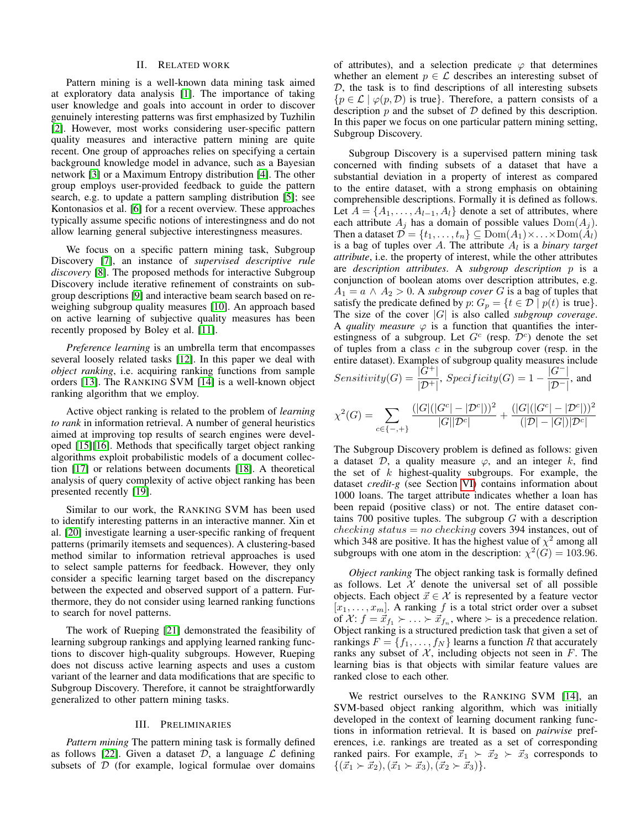#### II. RELATED WORK

Pattern mining is a well-known data mining task aimed at exploratory data analysis [\[1\]](#page-7-0). The importance of taking user knowledge and goals into account in order to discover genuinely interesting patterns was first emphasized by Tuzhilin [\[2\]](#page-7-1). However, most works considering user-specific pattern quality measures and interactive pattern mining are quite recent. One group of approaches relies on specifying a certain background knowledge model in advance, such as a Bayesian network [\[3\]](#page-7-2) or a Maximum Entropy distribution [\[4\]](#page-7-3). The other group employs user-provided feedback to guide the pattern search, e.g. to update a pattern sampling distribution [\[5\]](#page-7-4); see Kontonasios et al. [\[6\]](#page-7-5) for a recent overview. These approaches typically assume specific notions of interestingness and do not allow learning general subjective interestingness measures.

We focus on a specific pattern mining task, Subgroup Discovery [\[7\]](#page-7-6), an instance of *supervised descriptive rule discovery* [\[8\]](#page-7-7). The proposed methods for interactive Subgroup Discovery include iterative refinement of constraints on subgroup descriptions [\[9\]](#page-7-8) and interactive beam search based on reweighing subgroup quality measures [\[10\]](#page-7-9). An approach based on active learning of subjective quality measures has been recently proposed by Boley et al. [\[11\]](#page-7-10).

*Preference learning* is an umbrella term that encompasses several loosely related tasks [\[12\]](#page-7-11). In this paper we deal with *object ranking*, i.e. acquiring ranking functions from sample orders [\[13\]](#page-7-12). The RANKING SVM [\[14\]](#page-7-13) is a well-known object ranking algorithm that we employ.

Active object ranking is related to the problem of *learning to rank* in information retrieval. A number of general heuristics aimed at improving top results of search engines were developed [\[15\]](#page-7-14)[\[16\]](#page-7-15). Methods that specifically target object ranking algorithms exploit probabilistic models of a document collection [\[17\]](#page-7-16) or relations between documents [\[18\]](#page-7-17). A theoretical analysis of query complexity of active object ranking has been presented recently [\[19\]](#page-7-18).

Similar to our work, the RANKING SVM has been used to identify interesting patterns in an interactive manner. Xin et al. [\[20\]](#page-7-19) investigate learning a user-specific ranking of frequent patterns (primarily itemsets and sequences). A clustering-based method similar to information retrieval approaches is used to select sample patterns for feedback. However, they only consider a specific learning target based on the discrepancy between the expected and observed support of a pattern. Furthermore, they do not consider using learned ranking functions to search for novel patterns.

The work of Rueping [\[21\]](#page-7-20) demonstrated the feasibility of learning subgroup rankings and applying learned ranking functions to discover high-quality subgroups. However, Rueping does not discuss active learning aspects and uses a custom variant of the learner and data modifications that are specific to Subgroup Discovery. Therefore, it cannot be straightforwardly generalized to other pattern mining tasks.

## III. PRELIMINARIES

*Pattern mining* The pattern mining task is formally defined as follows [\[22\]](#page-7-21). Given a dataset  $D$ , a language  $\mathcal L$  defining subsets of  $D$  (for example, logical formulae over domains

of attributes), and a selection predicate  $\varphi$  that determines whether an element  $p \in \mathcal{L}$  describes an interesting subset of  $D$ , the task is to find descriptions of all interesting subsets  ${p \in \mathcal{L} \mid \varphi(p, \mathcal{D}) \text{ is true}}$ . Therefore, a pattern consists of a description  $p$  and the subset of  $D$  defined by this description. In this paper we focus on one particular pattern mining setting, Subgroup Discovery.

Subgroup Discovery is a supervised pattern mining task concerned with finding subsets of a dataset that have a substantial deviation in a property of interest as compared to the entire dataset, with a strong emphasis on obtaining comprehensible descriptions. Formally it is defined as follows. Let  $A = \{A_1, \ldots, A_{l-1}, A_l\}$  denote a set of attributes, where each attribute  $A_i$  has a domain of possible values  $Dom(A_i)$ . Then a dataset  $\mathcal{D} = \{t_1, \ldots, t_n\} \subseteq \text{Dom}(A_1) \times \ldots \times \text{Dom}(A_l)$ is a bag of tuples over  $A$ . The attribute  $A<sub>l</sub>$  is a *binary target attribute*, i.e. the property of interest, while the other attributes are *description attributes*. A *subgroup description* p is a conjunction of boolean atoms over description attributes, e.g.  $A_1 = a \land A_2 > 0$ . A *subgroup cover* G is a bag of tuples that satisfy the predicate defined by  $p: G_p = \{t \in \mathcal{D} \mid p(t) \text{ is true}\}.$ The size of the cover  $|G|$  is also called *subgroup coverage*. A *quality measure*  $\varphi$  is a function that quantifies the interestingness of a subgroup. Let  $G^c$  (resp.  $\mathcal{D}^c$ ) denote the set of tuples from a class  $c$  in the subgroup cover (resp. in the entire dataset). Examples of subgroup quality measures include  $Sensitivity(G) = \frac{|G^+|}{|\mathcal{D}^+|}, \: Specificity(G) = 1 - \frac{|G^-|}{|\mathcal{D}^-|}$  $\left| \frac{\partial}{\partial z} \right|$ , and

$$
\chi^2(G) = \sum_{c \in \{-,+\}} \frac{(|G|(|G^c| - |\mathcal{D}^c|))^2}{|G||\mathcal{D}^c|} + \frac{(|G|(|G^c| - |\mathcal{D}^c|))^2}{(|\mathcal{D}| - |G|)|\mathcal{D}^c|}
$$

The Subgroup Discovery problem is defined as follows: given a dataset  $D$ , a quality measure  $\varphi$ , and an integer k, find the set of  $k$  highest-quality subgroups. For example, the dataset *credit-g* (see Section [VI\)](#page-4-0) contains information about 1000 loans. The target attribute indicates whether a loan has been repaid (positive class) or not. The entire dataset contains 700 positive tuples. The subgroup  $G$  with a description *checking status = no checking covers* 394 instances, out of which 348 are positive. It has the highest value of  $\chi^2$  among all subgroups with one atom in the description:  $\chi^2(G) = 103.96$ .

*Object ranking* The object ranking task is formally defined as follows. Let  $X$  denote the universal set of all possible objects. Each object  $\vec{x} \in \mathcal{X}$  is represented by a feature vector  $[x_1, \ldots, x_m]$ . A ranking f is a total strict order over a subset of  $\mathcal{X}: f = \vec{x}_{f_1} \succ ... \succ \vec{x}_{f_n}$ , where  $\succ$  is a precedence relation. Object ranking is a structured prediction task that given a set of rankings  $F = \{f_1, \ldots, f_N\}$  learns a function R that accurately ranks any subset of  $X$ , including objects not seen in  $F$ . The learning bias is that objects with similar feature values are ranked close to each other.

We restrict ourselves to the RANKING SVM [\[14\]](#page-7-13), an SVM-based object ranking algorithm, which was initially developed in the context of learning document ranking functions in information retrieval. It is based on *pairwise* preferences, i.e. rankings are treated as a set of corresponding ranked pairs. For example,  $\vec{x}_1 \succ \vec{x}_2 \succ \vec{x}_3$  corresponds to  $\{(\vec{x}_1 \succ \vec{x}_2),(\vec{x}_1 \succ \vec{x}_3),(\vec{x}_2 \succ \vec{x}_3)\}.$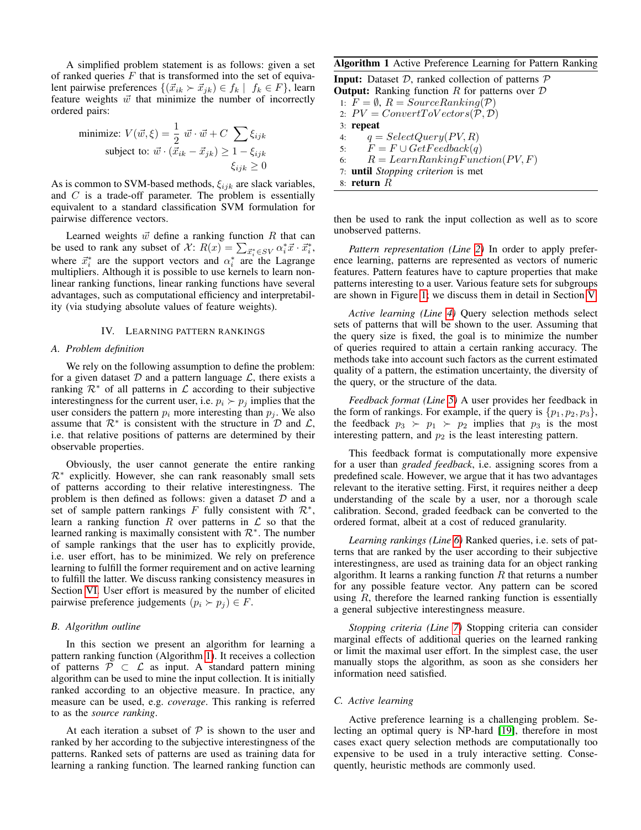A simplified problem statement is as follows: given a set of ranked queries  $F$  that is transformed into the set of equivalent pairwise preferences  $\{(\vec{x}_{ik} \succ \vec{x}_{jk}) \in f_k \mid f_k \in F\}$ , learn feature weights  $\vec{w}$  that minimize the number of incorrectly ordered pairs:

minimize: 
$$
V(\vec{w}, \xi) = \frac{1}{2} \vec{w} \cdot \vec{w} + C \sum \xi_{ijk}
$$
  
subject to:  $\vec{w} \cdot (\vec{x}_{ik} - \vec{x}_{jk}) \ge 1 - \xi_{ijk}$   
 $\xi_{ijk} \ge 0$ 

As is common to SVM-based methods,  $\xi_{ijk}$  are slack variables, and  $C$  is a trade-off parameter. The problem is essentially equivalent to a standard classification SVM formulation for pairwise difference vectors.

Learned weights  $\vec{w}$  define a ranking function R that can be used to rank any subset of X:  $R(x) = \sum_{\vec{x}_i^* \in SV} \alpha_i^* \vec{x} \cdot \vec{x}_i^*$ , where  $\vec{x}_i^*$  are the support vectors and  $\alpha_i^*$  are the Lagrange multipliers. Although it is possible to use kernels to learn nonlinear ranking functions, linear ranking functions have several advantages, such as computational efficiency and interpretability (via studying absolute values of feature weights).

#### IV. LEARNING PATTERN RANKINGS

#### *A. Problem definition*

We rely on the following assumption to define the problem: for a given dataset  $D$  and a pattern language  $\mathcal{L}$ , there exists a ranking  $\mathcal{R}^*$  of all patterns in  $\mathcal L$  according to their subjective interestingness for the current user, i.e.  $p_i \succ p_j$  implies that the user considers the pattern  $p_i$  more interesting than  $p_i$ . We also assume that  $\mathcal{R}^*$  is consistent with the structure in  $\mathcal{D}$  and  $\mathcal{L}$ , i.e. that relative positions of patterns are determined by their observable properties.

Obviously, the user cannot generate the entire ranking R<sup>∗</sup> explicitly. However, she can rank reasonably small sets of patterns according to their relative interestingness. The problem is then defined as follows: given a dataset  $D$  and a set of sample pattern rankings F fully consistent with  $\mathcal{R}^*$ , learn a ranking function R over patterns in  $\mathcal L$  so that the learned ranking is maximally consistent with  $\mathcal{R}^*$ . The number of sample rankings that the user has to explicitly provide, i.e. user effort, has to be minimized. We rely on preference learning to fulfill the former requirement and on active learning to fulfill the latter. We discuss ranking consistency measures in Section [VI.](#page-4-0) User effort is measured by the number of elicited pairwise preference judgements  $(p_i \succ p_j) \in F$ .

#### *B. Algorithm outline*

In this section we present an algorithm for learning a pattern ranking function (Algorithm [1\)](#page-2-0). It receives a collection of patterns  $P \subset \mathcal{L}$  as input. A standard pattern mining algorithm can be used to mine the input collection. It is initially ranked according to an objective measure. In practice, any measure can be used, e.g. *coverage*. This ranking is referred to as the *source ranking*.

At each iteration a subset of  $P$  is shown to the user and ranked by her according to the subjective interestingness of the patterns. Ranked sets of patterns are used as training data for learning a ranking function. The learned ranking function can

# <span id="page-2-0"></span>Algorithm 1 Active Preference Learning for Pattern Ranking

**Input:** Dataset  $D$ , ranked collection of patterns  $P$ **Output:** Ranking function  $R$  for patterns over  $D$ 1:  $F = \emptyset$ ,  $R = SourceRanking(\mathcal{P})$ 2:  $PV = ConvertToVectors(\mathcal{P}, \mathcal{D})$ 3: repeat 4:  $q = SelectQuery(PV, R)$ 5:  $F = F \cup GetFeedback(q)$ 6:  $R = LearnRanking Function(PV, F)$ 7: until *Stopping criterion* is met 8: return R

then be used to rank the input collection as well as to score unobserved patterns.

*Pattern representation (Line [2\)](#page-2-0)* In order to apply preference learning, patterns are represented as vectors of numeric features. Pattern features have to capture properties that make patterns interesting to a user. Various feature sets for subgroups are shown in Figure [1;](#page-3-0) we discuss them in detail in Section [V.](#page-4-1)

*Active learning (Line [4\)](#page-2-0)* Query selection methods select sets of patterns that will be shown to the user. Assuming that the query size is fixed, the goal is to minimize the number of queries required to attain a certain ranking accuracy. The methods take into account such factors as the current estimated quality of a pattern, the estimation uncertainty, the diversity of the query, or the structure of the data.

*Feedback format (Line [5\)](#page-2-0)* A user provides her feedback in the form of rankings. For example, if the query is  $\{p_1, p_2, p_3\}$ , the feedback  $p_3 \succ p_1 \succ p_2$  implies that  $p_3$  is the most interesting pattern, and  $p_2$  is the least interesting pattern.

This feedback format is computationally more expensive for a user than *graded feedback*, i.e. assigning scores from a predefined scale. However, we argue that it has two advantages relevant to the iterative setting. First, it requires neither a deep understanding of the scale by a user, nor a thorough scale calibration. Second, graded feedback can be converted to the ordered format, albeit at a cost of reduced granularity.

*Learning rankings (Line [6\)](#page-2-0)* Ranked queries, i.e. sets of patterns that are ranked by the user according to their subjective interestingness, are used as training data for an object ranking algorithm. It learns a ranking function  $R$  that returns a number for any possible feature vector. Any pattern can be scored using  $R$ , therefore the learned ranking function is essentially a general subjective interestingness measure.

*Stopping criteria (Line [7\)](#page-2-0)* Stopping criteria can consider marginal effects of additional queries on the learned ranking or limit the maximal user effort. In the simplest case, the user manually stops the algorithm, as soon as she considers her information need satisfied.

#### *C. Active learning*

Active preference learning is a challenging problem. Selecting an optimal query is NP-hard [\[19\]](#page-7-18), therefore in most cases exact query selection methods are computationally too expensive to be used in a truly interactive setting. Consequently, heuristic methods are commonly used.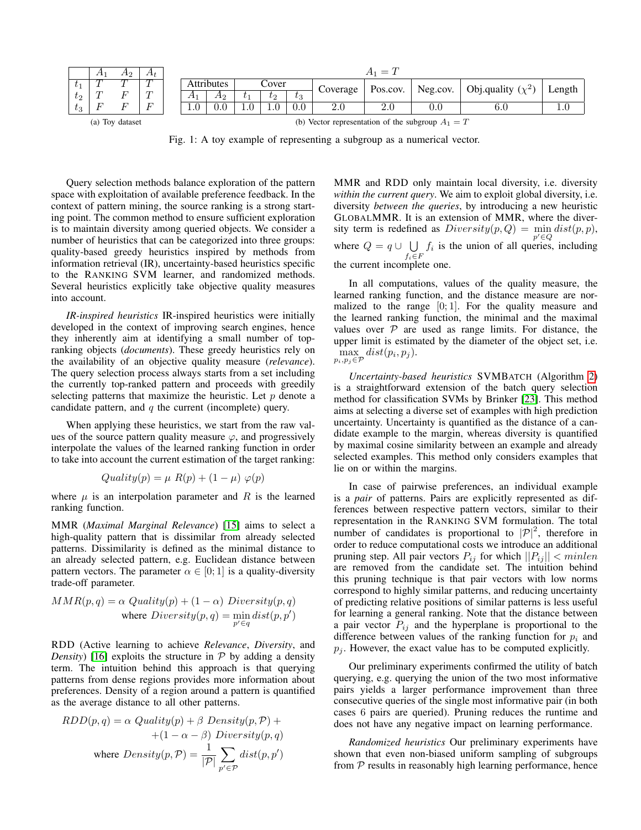<span id="page-3-0"></span>

|                 |           | $\bm{A}$ | A <sub>2</sub>      | $H_t$              |  |             |            |           |                                                 |          |          |          |                                |                 |     |
|-----------------|-----------|----------|---------------------|--------------------|--|-------------|------------|-----------|-------------------------------------------------|----------|----------|----------|--------------------------------|-----------------|-----|
|                 |           |          | $\mathbf \tau$<br>ᅩ | $\mathbf \tau$     |  |             | Attributes | Cover     |                                                 | Coverage | Pos.cov. | Neg.cov. | <b>Obj.</b> quality $(\chi^2)$ | $\text{Length}$ |     |
|                 | $\iota_2$ |          | $\Gamma$            | $\tau$<br><b>.</b> |  | $A^{\cdot}$ | $A_2$      | $\iota_1$ | $t_2$                                           | $t_3$    |          |          |                                |                 |     |
|                 | ι3        |          | $\mathbf{\tau}$     | F                  |  | $_{1.0}$    | v.u        |           | $1.0\,$                                         | $0.0\,$  | Z.U      |          | U.U                            | 0.U             | 1.U |
| (a) Toy dataset |           |          |                     |                    |  |             |            | (b)       | Vector representation of the subgroup $A_1 = T$ |          |          |          |                                |                 |     |

Fig. 1: A toy example of representing a subgroup as a numerical vector.

Query selection methods balance exploration of the pattern space with exploitation of available preference feedback. In the context of pattern mining, the source ranking is a strong starting point. The common method to ensure sufficient exploration is to maintain diversity among queried objects. We consider a number of heuristics that can be categorized into three groups: quality-based greedy heuristics inspired by methods from information retrieval (IR), uncertainty-based heuristics specific to the RANKING SVM learner, and randomized methods. Several heuristics explicitly take objective quality measures into account.

*IR-inspired heuristics* IR-inspired heuristics were initially developed in the context of improving search engines, hence they inherently aim at identifying a small number of topranking objects (*documents*). These greedy heuristics rely on the availability of an objective quality measure (*relevance*). The query selection process always starts from a set including the currently top-ranked pattern and proceeds with greedily selecting patterns that maximize the heuristic. Let  $p$  denote a candidate pattern, and  $q$  the current (incomplete) query.

When applying these heuristics, we start from the raw values of the source pattern quality measure  $\varphi$ , and progressively interpolate the values of the learned ranking function in order to take into account the current estimation of the target ranking:

$$
Quality(p) = \mu R(p) + (1 - \mu) \varphi(p)
$$

where  $\mu$  is an interpolation parameter and R is the learned ranking function.

MMR (*Maximal Marginal Relevance*) [\[15\]](#page-7-14) aims to select a high-quality pattern that is dissimilar from already selected patterns. Dissimilarity is defined as the minimal distance to an already selected pattern, e.g. Euclidean distance between pattern vectors. The parameter  $\alpha \in [0, 1]$  is a quality-diversity trade-off parameter.

$$
MMR(p,q) = \alpha \; Quality(p) + (1 - \alpha) \; Diversity(p,q)
$$
\n
$$
where \; Diversity(p,q) = \min_{p' \in q} dist(p,p')
$$

RDD (Active learning to achieve *Relevance*, *Diversity*, and *Density*) [\[16\]](#page-7-15) exploits the structure in  $P$  by adding a density term. The intuition behind this approach is that querying patterns from dense regions provides more information about preferences. Density of a region around a pattern is quantified as the average distance to all other patterns.

$$
RDD(p,q) = \alpha \t\text{Quality}(p) + \beta \t\text{Density}(p, \mathcal{P}) + \left(1 - \alpha - \beta\right) \t\text{Diversity}(p, q)
$$
\n
$$
\text{where } Density(p, \mathcal{P}) = \frac{1}{|\mathcal{P}|} \sum_{p' \in \mathcal{P}} dist(p, p')
$$

MMR and RDD only maintain local diversity, i.e. diversity *within the current query*. We aim to exploit global diversity, i.e. diversity *between the queries*, by introducing a new heuristic GLOBALMMR. It is an extension of MMR, where the diversity term is redefined as  $Diversity(p,Q) = \min_{p' \in Q} dist(p,p)$ , where  $Q = q \cup \bigcup$  $f_i \in F$  $f_i$  is the union of all queries, including the current incomplete one.

In all computations, values of the quality measure, the learned ranking function, and the distance measure are normalized to the range  $[0; 1]$ . For the quality measure and the learned ranking function, the minimal and the maximal values over  $P$  are used as range limits. For distance, the upper limit is estimated by the diameter of the object set, i.e.  $\max_{p_i, p_j \in \mathcal{P}} dist(p_i, p_j).$ 

*Uncertainty-based heuristics* SVMBATCH (Algorithm [2\)](#page-4-2) is a straightforward extension of the batch query selection method for classification SVMs by Brinker [\[23\]](#page-7-22). This method aims at selecting a diverse set of examples with high prediction uncertainty. Uncertainty is quantified as the distance of a candidate example to the margin, whereas diversity is quantified by maximal cosine similarity between an example and already selected examples. This method only considers examples that lie on or within the margins.

In case of pairwise preferences, an individual example is a *pair* of patterns. Pairs are explicitly represented as differences between respective pattern vectors, similar to their representation in the RANKING SVM formulation. The total number of candidates is proportional to  $|\mathcal{P}|^2$ , therefore in order to reduce computational costs we introduce an additional pruning step. All pair vectors  $P_{ij}$  for which  $||P_{ij}|| < minlen$ are removed from the candidate set. The intuition behind this pruning technique is that pair vectors with low norms correspond to highly similar patterns, and reducing uncertainty of predicting relative positions of similar patterns is less useful for learning a general ranking. Note that the distance between a pair vector  $P_{ij}$  and the hyperplane is proportional to the difference between values of the ranking function for  $p_i$  and  $p_i$ . However, the exact value has to be computed explicitly.

Our preliminary experiments confirmed the utility of batch querying, e.g. querying the union of the two most informative pairs yields a larger performance improvement than three consecutive queries of the single most informative pair (in both cases 6 pairs are queried). Pruning reduces the runtime and does not have any negative impact on learning performance.

*Randomized heuristics* Our preliminary experiments have shown that even non-biased uniform sampling of subgroups from  $P$  results in reasonably high learning performance, hence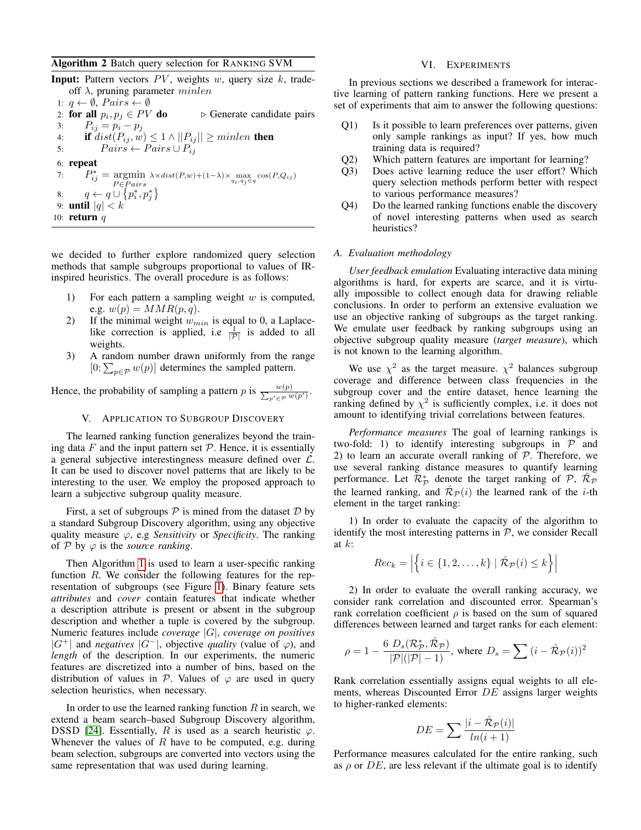## <span id="page-4-2"></span>Algorithm 2 Batch query selection for RANKING SVM

**Input:** Pattern vectors  $PV$ , weights w, query size  $k$ , tradeoff  $\lambda$ , pruning parameter *minlen* 

1:  $q \leftarrow \emptyset$ ,  $Pairs \leftarrow \emptyset$ 

- 2: for all  $p_i, p_j \in PV$  do ⊳ Generate candidate pairs 3:  $P_{ij} = p_i - p_j$
- 4: if  $dist(P_{ij}, w) \leq 1 \wedge ||P_{ij}|| \geq minlen$  then

$$
5: \qquad \quad \text{Pairs} \leftarrow \text{Pairs} \cup P_{ij}
$$

6: repeat

7:  $P_{ij}^* = \operatorname*{argmin}_{P \in Pairs}$  $\lambda \times dist(P, w) + (1 - \lambda) \times \max_{q_i, q_j \in q} \cos(P, Q_{ij})$ 

8:  $q \leftarrow q \cup \{p_i^*, p_j^*\}$ 

- 9: **until**  $|q| < k$
- 10: return  $q$

we decided to further explore randomized query selection methods that sample subgroups proportional to values of IRinspired heuristics. The overall procedure is as follows:

- 1) For each pattern a sampling weight  $w$  is computed, e.g.  $w(p) = MMR(p, q)$ .
- 2) If the minimal weight  $w_{min}$  is equal to 0, a Laplacelike correction is applied, i.e  $\frac{1}{|P|}$  is added to all weights.
- 3) A random number drawn uniformly from the range  $[0; \sum_{p \in \mathcal{P}} w(p)]$  determines the sampled pattern.

Hence, the probability of sampling a pattern p is  $\frac{w(p)}{\sum_{p' \in \mathcal{P}} w(p')}$ .

## V. APPLICATION TO SUBGROUP DISCOVERY

<span id="page-4-1"></span>The learned ranking function generalizes beyond the training data  $F$  and the input pattern set  $\mathcal P$ . Hence, it is essentially a general subjective interestingness measure defined over L. It can be used to discover novel patterns that are likely to be interesting to the user. We employ the proposed approach to learn a subjective subgroup quality measure.

First, a set of subgroups  $P$  is mined from the dataset  $D$  by a standard Subgroup Discovery algorithm, using any objective quality measure  $\varphi$ , e.g *Sensitivity* or *Specificity*. The ranking of  $P$  by  $\varphi$  is the *source ranking*.

Then Algorithm [1](#page-2-0) is used to learn a user-specific ranking function R. We consider the following features for the representation of subgroups (see Figure [1\)](#page-3-0). Binary feature sets *attributes* and *cover* contain features that indicate whether a description attribute is present or absent in the subgroup description and whether a tuple is covered by the subgroup. Numeric features include *coverage* |G|, *coverage on positives*  $|G^+|$  and *negatives*  $|G^-|$ , objective *quality* (value of  $\varphi$ ), and *length* of the description. In our experiments, the numeric features are discretized into a number of bins, based on the distribution of values in  $\mathcal{P}$ . Values of  $\varphi$  are used in query selection heuristics, when necessary.

In order to use the learned ranking function  $R$  in search, we extend a beam search–based Subgroup Discovery algorithm, DSSD [\[24\]](#page-7-23). Essentially, R is used as a search heuristic  $\varphi$ . Whenever the values of  $R$  have to be computed, e.g. during beam selection, subgroups are converted into vectors using the same representation that was used during learning.

#### VI. EXPERIMENTS

<span id="page-4-0"></span>In previous sections we described a framework for interactive learning of pattern ranking functions. Here we present a set of experiments that aim to answer the following questions:

- Q1) Is it possible to learn preferences over patterns, given only sample rankings as input? If yes, how much training data is required?
- Q2) Which pattern features are important for learning?
- Q3) Does active learning reduce the user effort? Which query selection methods perform better with respect to various performance measures?
- Q4) Do the learned ranking functions enable the discovery of novel interesting patterns when used as search heuristics?

## *A. Evaluation methodology*

*User feedback emulation* Evaluating interactive data mining algorithms is hard, for experts are scarce, and it is virtually impossible to collect enough data for drawing reliable conclusions. In order to perform an extensive evaluation we use an objective ranking of subgroups as the target ranking. We emulate user feedback by ranking subgroups using an objective subgroup quality measure (*target measure*), which is not known to the learning algorithm.

We use  $\chi^2$  as the target measure.  $\chi^2$  balances subgroup coverage and difference between class frequencies in the subgroup cover and the entire dataset, hence learning the ranking defined by  $\chi^2$  is sufficiently complex, i.e. it does not amount to identifying trivial correlations between features.

*Performance measures* The goal of learning rankings is two-fold: 1) to identify interesting subgroups in  $P$  and 2) to learn an accurate overall ranking of  $P$ . Therefore, we use several ranking distance measures to quantify learning performance. Let  $\mathcal{R}^*_{\mathcal{P}}$  denote the target ranking of  $\mathcal{P}, \hat{\mathcal{R}}_{\mathcal{P}}$ the learned ranking, and  $\hat{\mathcal{R}}_{\mathcal{P}}(i)$  the learned rank of the *i*-th element in the target ranking:

1) In order to evaluate the capacity of the algorithm to identify the most interesting patterns in  $P$ , we consider Recall at  $k$ :

$$
Rec_k = \left| \left\{ i \in \{1, 2, \dots, k\} \mid \hat{\mathcal{R}}_{\mathcal{P}}(i) \leq k \right\} \right|
$$

2) In order to evaluate the overall ranking accuracy, we consider rank correlation and discounted error. Spearman's rank correlation coefficient  $\rho$  is based on the sum of squared differences between learned and target ranks for each element:

$$
\rho = 1 - \frac{6 D_s(\mathcal{R}_\mathcal{P}^*, \hat{\mathcal{R}}_\mathcal{P})}{|\mathcal{P}|(|\mathcal{P}| - 1)}, \text{ where } D_s = \sum_{i} (i - \hat{\mathcal{R}}_\mathcal{P}(i))^2
$$

Rank correlation essentially assigns equal weights to all elements, whereas Discounted Error DE assigns larger weights to higher-ranked elements:

$$
DE = \sum \frac{|i - \hat{\mathcal{R}}_{\mathcal{P}}(i)|}{ln(i+1)}
$$

Performance measures calculated for the entire ranking, such as  $\rho$  or DE, are less relevant if the ultimate goal is to identify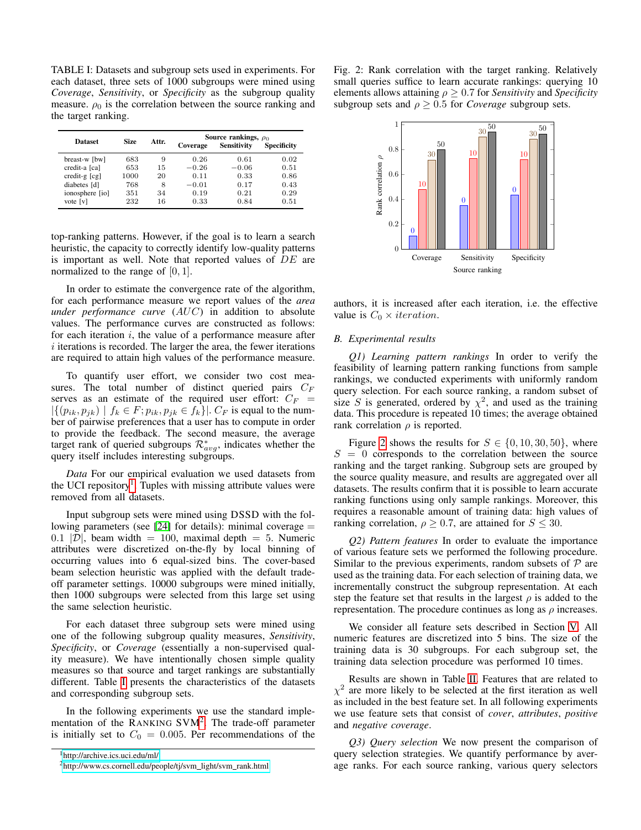<span id="page-5-1"></span>TABLE I: Datasets and subgroup sets used in experiments. For each dataset, three sets of 1000 subgroups were mined using *Coverage*, *Sensitivity*, or *Specificity* as the subgroup quality measure.  $\rho_0$  is the correlation between the source ranking and the target ranking.

| <b>Dataset</b>    | Size | Attr. | Source rankings, $\rho_0$ |                    |             |  |
|-------------------|------|-------|---------------------------|--------------------|-------------|--|
|                   |      |       | Coverage                  | <b>Sensitivity</b> | Specificity |  |
| breast-w [bw]     | 683  | 9     | 0.26                      | 0.61               | 0.02        |  |
| credit-a [ca]     | 653  | 15    | $-0.26$                   | $-0.06$            | 0.51        |  |
| $credit-g$ $[cg]$ | 1000 | 20    | 0.11                      | 0.33               | 0.86        |  |
| diabetes [d]      | 768  | 8     | $-0.01$                   | 0.17               | 0.43        |  |
| ionosphere [io]   | 351  | 34    | 0.19                      | 0.21               | 0.29        |  |
| vote $[v]$        | 232  | 16    | 0.33                      | 0.84               | 0.51        |  |

top-ranking patterns. However, if the goal is to learn a search heuristic, the capacity to correctly identify low-quality patterns is important as well. Note that reported values of DE are normalized to the range of  $[0, 1]$ .

In order to estimate the convergence rate of the algorithm, for each performance measure we report values of the *area under performance curve* (AUC) in addition to absolute values. The performance curves are constructed as follows: for each iteration  $i$ , the value of a performance measure after  $i$  iterations is recorded. The larger the area, the fewer iterations are required to attain high values of the performance measure.

To quantify user effort, we consider two cost measures. The total number of distinct queried pairs  $C_F$ serves as an estimate of the required user effort:  $C_F$  =  $|\{(p_{ik}, p_{jk}) \mid f_k \in F; p_{ik}, p_{jk} \in f_k\}|$ .  $C_F$  is equal to the number of pairwise preferences that a user has to compute in order to provide the feedback. The second measure, the average target rank of queried subgroups  $\mathcal{R}^*_{avg}$ , indicates whether the query itself includes interesting subgroups.

*Data* For our empirical evaluation we used datasets from the UCI repository<sup>[1](#page-5-0)</sup>. Tuples with missing attribute values were removed from all datasets.

Input subgroup sets were mined using DSSD with the following parameters (see  $[24]$  for details): minimal coverage = 0.1  $|\mathcal{D}|$ , beam width = 100, maximal depth = 5. Numeric attributes were discretized on-the-fly by local binning of occurring values into 6 equal-sized bins. The cover-based beam selection heuristic was applied with the default tradeoff parameter settings. 10000 subgroups were mined initially, then 1000 subgroups were selected from this large set using the same selection heuristic.

For each dataset three subgroup sets were mined using one of the following subgroup quality measures, *Sensitivity*, *Specificity*, or *Coverage* (essentially a non-supervised quality measure). We have intentionally chosen simple quality measures so that source and target rankings are substantially different. Table [I](#page-5-1) presents the characteristics of the datasets and corresponding subgroup sets.

In the following experiments we use the standard imple-mentation of the RANKING SVM<sup>[2](#page-5-2)</sup>. The trade-off parameter is initially set to  $C_0 = 0.005$ . Per recommendations of the <span id="page-5-3"></span>Fig. 2: Rank correlation with the target ranking. Relatively small queries suffice to learn accurate rankings: querying 10 elements allows attaining  $\rho \geq 0.7$  for *Sensitivity* and *Specificity* subgroup sets and  $\rho \geq 0.5$  for *Coverage* subgroup sets.



authors, it is increased after each iteration, i.e. the effective value is  $C_0 \times iteration$ .

# *B. Experimental results*

*Q1) Learning pattern rankings* In order to verify the feasibility of learning pattern ranking functions from sample rankings, we conducted experiments with uniformly random query selection. For each source ranking, a random subset of size S is generated, ordered by  $\chi^2$ , and used as the training data. This procedure is repeated 10 times; the average obtained rank correlation  $\rho$  is reported.

Figure [2](#page-5-3) shows the results for  $S \in \{0, 10, 30, 50\}$ , where  $S = 0$  corresponds to the correlation between the source ranking and the target ranking. Subgroup sets are grouped by the source quality measure, and results are aggregated over all datasets. The results confirm that it is possible to learn accurate ranking functions using only sample rankings. Moreover, this requires a reasonable amount of training data: high values of ranking correlation,  $\rho \ge 0.7$ , are attained for  $S \le 30$ .

*Q2) Pattern features* In order to evaluate the importance of various feature sets we performed the following procedure. Similar to the previous experiments, random subsets of  $P$  are used as the training data. For each selection of training data, we incrementally construct the subgroup representation. At each step the feature set that results in the largest  $\rho$  is added to the representation. The procedure continues as long as  $\rho$  increases.

We consider all feature sets described in Section [V.](#page-4-1) All numeric features are discretized into 5 bins. The size of the training data is 30 subgroups. For each subgroup set, the training data selection procedure was performed 10 times.

Results are shown in Table [II.](#page-6-0) Features that are related to  $\chi^2$  are more likely to be selected at the first iteration as well as included in the best feature set. In all following experiments we use feature sets that consist of *cover*, *attributes*, *positive* and *negative coverage*.

*Q3) Query selection* We now present the comparison of query selection strategies. We quantify performance by average ranks. For each source ranking, various query selectors

<span id="page-5-0"></span><sup>1</sup><http://archive.ics.uci.edu/ml/>

<span id="page-5-2"></span><sup>&</sup>lt;sup>2</sup>[http://www.cs.cornell.edu/people/tj/svm](http://www.cs.cornell.edu/people/tj/svm_light/svm_rank.html)\_light/svm\_rank.html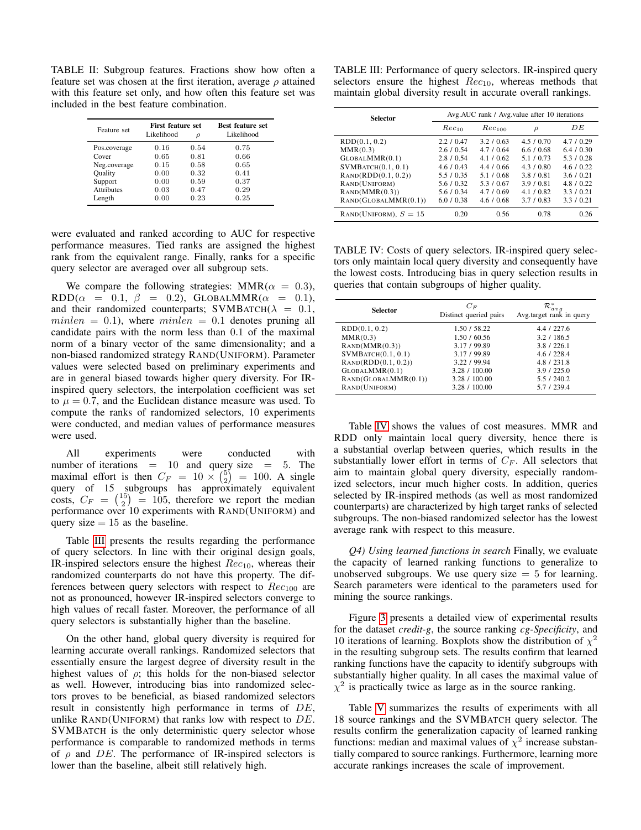<span id="page-6-0"></span>TABLE II: Subgroup features. Fractions show how often a feature set was chosen at the first iteration, average  $\rho$  attained with this feature set only, and how often this feature set was included in the best feature combination.

| Feature set       | <b>First feature set</b><br>Likelihood | ρ    | <b>Best feature set</b><br>Likelihood |  |  |
|-------------------|----------------------------------------|------|---------------------------------------|--|--|
| Pos.coverage      | 0.16                                   | 0.54 | 0.75                                  |  |  |
| Cover             | 0.65                                   | 0.81 | 0.66                                  |  |  |
| Neg.coverage      | 0.15                                   | 0.58 | 0.65                                  |  |  |
| <b>Quality</b>    | 0.00                                   | 0.32 | 0.41                                  |  |  |
| Support           | 0.00                                   | 0.59 | 0.37                                  |  |  |
| <b>Attributes</b> | 0.03                                   | 0.47 | 0.29                                  |  |  |
| Length            | 0.00                                   | 0.23 | 0.25                                  |  |  |

were evaluated and ranked according to AUC for respective performance measures. Tied ranks are assigned the highest rank from the equivalent range. Finally, ranks for a specific query selector are averaged over all subgroup sets.

We compare the following strategies:  $MMR(\alpha = 0.3)$ ,  $RDD(\alpha = 0.1, \beta = 0.2)$ , GLOBALMMR( $\alpha = 0.1$ ), and their randomized counterparts; SVMBATCH( $\lambda = 0.1$ ,  $minlen = 0.1$ , where  $minlen = 0.1$  denotes pruning all candidate pairs with the norm less than 0.1 of the maximal norm of a binary vector of the same dimensionality; and a non-biased randomized strategy RAND(UNIFORM). Parameter values were selected based on preliminary experiments and are in general biased towards higher query diversity. For IRinspired query selectors, the interpolation coefficient was set to  $\mu = 0.7$ , and the Euclidean distance measure was used. To compute the ranks of randomized selectors, 10 experiments were conducted, and median values of performance measures were used.

All experiments were conducted with number of iterations  $= 10$  and query size  $= 5$ . The maximal effort is then  $C_F = 10 \times {5 \choose 2} = 100$ . A single maximal error is then  $C_F = 10 \times (2) = 100$ . A single<br>query of 15 subgroups has approximately equivalent costs,  $C_F = \binom{15}{2} = 105$ , therefore we report the median performance over 10 experiments with RAND(UNIFORM) and query size  $= 15$  as the baseline.

Table [III](#page-6-1) presents the results regarding the performance of query selectors. In line with their original design goals, IR-inspired selectors ensure the highest  $Rec<sub>10</sub>$ , whereas their randomized counterparts do not have this property. The differences between query selectors with respect to  $Rec<sub>100</sub>$  are not as pronounced, however IR-inspired selectors converge to high values of recall faster. Moreover, the performance of all query selectors is substantially higher than the baseline.

On the other hand, global query diversity is required for learning accurate overall rankings. Randomized selectors that essentially ensure the largest degree of diversity result in the highest values of  $\rho$ ; this holds for the non-biased selector as well. However, introducing bias into randomized selectors proves to be beneficial, as biased randomized selectors result in consistently high performance in terms of DE, unlike  $RAND(UNIFORM)$  that ranks low with respect to  $DE$ . SVMBATCH is the only deterministic query selector whose performance is comparable to randomized methods in terms of  $\rho$  and DE. The performance of IR-inspired selectors is lower than the baseline, albeit still relatively high.

<span id="page-6-1"></span>TABLE III: Performance of query selectors. IR-inspired query selectors ensure the highest  $Rec<sub>10</sub>$ , whereas methods that maintain global diversity result in accurate overall rankings.

| <b>Selector</b>         | Avg.AUC rank / Avg.value after 10 iterations |                    |            |          |  |  |
|-------------------------|----------------------------------------------|--------------------|------------|----------|--|--|
|                         | Rec <sub>10</sub>                            | Rec <sub>100</sub> | $\rho$     | DE       |  |  |
| RDD(0.1, 0.2)           | 2.2/0.47                                     | 3.2/0.63           | 4.5/0.70   | 4.7/0.29 |  |  |
| MMR(0.3)                | 2.6/0.54                                     | 4.7/0.64           | 6.6/0.68   | 6.4/0.30 |  |  |
| $G$ LOBALMM $R(0.1)$    | 2.8 / 0.54                                   | 4.1 / 0.62         | 5.1 / 0.73 | 5.3/0.28 |  |  |
| SVMBATCH(0.1, 0.1)      | 4.6 / 0.43                                   | 4.4/0.66           | 4.3/0.80   | 4.6/0.22 |  |  |
| RAND(RDD(0.1, 0.2))     | 5.5 / 0.35                                   | 5.1 / 0.68         | 3.8 / 0.81 | 3.6/0.21 |  |  |
| RAND(UNIFORM)           | 5.6 / 0.32                                   | 5.3 / 0.67         | 3.9 / 0.81 | 4.8/0.22 |  |  |
| RAND(MMR(0.3))          | 5.6 / 0.34                                   | 4.7/0.69           | 4.1 / 0.82 | 3.3/0.21 |  |  |
| RAND(GLOBALMMR(0.1))    | 6.0 / 0.38                                   | 4.6/0.68           | 3.7/0.83   | 3.3/0.21 |  |  |
| RAND(UNIFORM), $S = 15$ | 0.20                                         | 0.56               | 0.78       | 0.26     |  |  |

<span id="page-6-2"></span>TABLE IV: Costs of query selectors. IR-inspired query selectors only maintain local query diversity and consequently have the lowest costs. Introducing bias in query selection results in queries that contain subgroups of higher quality.

| <b>Selector</b>      | $C_F$<br>Distinct queried pairs | $\mathcal{R}^*_{avg}$<br>Avg.target rank in query |  |  |
|----------------------|---------------------------------|---------------------------------------------------|--|--|
| RDD(0.1, 0.2)        | 1.50 / 58.22                    | 4.4 / 227.6                                       |  |  |
| MMR(0.3)             | 1.50 / 60.56                    | 3.2 / 186.5                                       |  |  |
| RAND(MMR(0.3))       | 3.17 / 99.89                    | 3.8 / 226.1                                       |  |  |
| SVMBATCH(0.1, 0.1)   | 3.17 / 99.89                    | 4.6 / 228.4                                       |  |  |
| RAND(RDD(0.1, 0.2))  | 3.22 / 99.94                    | 4.8 / 231.8                                       |  |  |
| $G$ LOBAL $MMR(0.1)$ | 3.28 / 100.00                   | 3.9 / 225.0                                       |  |  |
| RAND(GLOBALMMR(0.1)) | 3.28 / 100.00                   | 5.5 / 240.2                                       |  |  |
| RAND(UNIFORM)        | 3.28 / 100.00                   | 5.7 / 239.4                                       |  |  |

Table [IV](#page-6-2) shows the values of cost measures. MMR and RDD only maintain local query diversity, hence there is a substantial overlap between queries, which results in the substantially lower effort in terms of  $C_F$ . All selectors that aim to maintain global query diversity, especially randomized selectors, incur much higher costs. In addition, queries selected by IR-inspired methods (as well as most randomized counterparts) are characterized by high target ranks of selected subgroups. The non-biased randomized selector has the lowest average rank with respect to this measure.

*Q4) Using learned functions in search* Finally, we evaluate the capacity of learned ranking functions to generalize to unobserved subgroups. We use query size  $= 5$  for learning. Search parameters were identical to the parameters used for mining the source rankings.

Figure [3](#page-7-24) presents a detailed view of experimental results for the dataset *credit-g*, the source ranking *cg-Specificity*, and 10 iterations of learning. Boxplots show the distribution of  $\chi^2$ in the resulting subgroup sets. The results confirm that learned ranking functions have the capacity to identify subgroups with substantially higher quality. In all cases the maximal value of  $\chi^2$  is practically twice as large as in the source ranking.

Table [V](#page-7-25) summarizes the results of experiments with all 18 source rankings and the SVMBATCH query selector. The results confirm the generalization capacity of learned ranking functions: median and maximal values of  $\chi^2$  increase substantially compared to source rankings. Furthermore, learning more accurate rankings increases the scale of improvement.